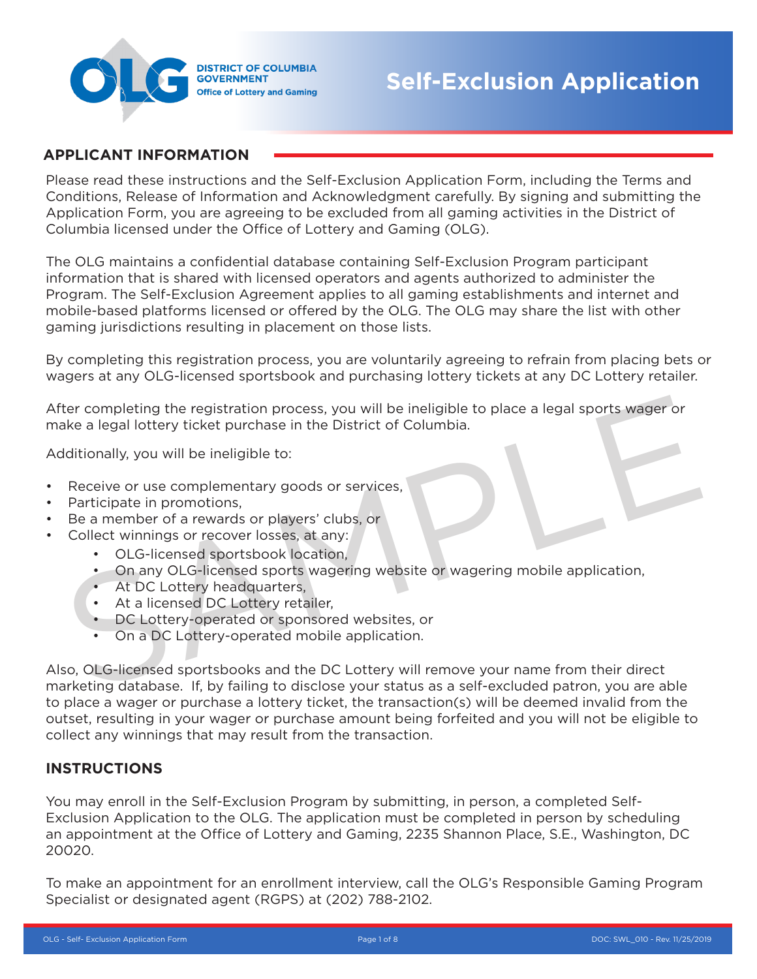

#### **APPLICANT INFORMATION**

Please read these instructions and the Self-Exclusion Application Form, including the Terms and Conditions, Release of Information and Acknowledgment carefully. By signing and submitting the Application Form, you are agreeing to be excluded from all gaming activities in the District of Columbia licensed under the Office of Lottery and Gaming (OLG).

The OLG maintains a confidential database containing Self-Exclusion Program participant information that is shared with licensed operators and agents authorized to administer the Program. The Self-Exclusion Agreement applies to all gaming establishments and internet and mobile-based platforms licensed or offered by the OLG. The OLG may share the list with other gaming jurisdictions resulting in placement on those lists.

By completing this registration process, you are voluntarily agreeing to refrain from placing bets or wagers at any OLG-licensed sportsbook and purchasing lottery tickets at any DC Lottery retailer.

After completing the registration process, you will be ineligible to place a legal sports wager or make a legal lottery ticket purchase in the District of Columbia. the completing the registration process, you will be ineligible to place a legal sports wager or<br>
Aditionally, you will be ineligible to:<br>
Aditionally, you will be ineligible to:<br>
Receive or use complementary goods or serv

Additionally, you will be ineligible to:

- Receive or use complementary goods or services,
- Participate in promotions,
- Be a member of a rewards or players' clubs, or
- Collect winnings or recover losses, at any:
	- OLG-licensed sportsbook location,
	- On any OLG-licensed sports wagering website or wagering mobile application,
	- At DC Lottery headquarters,
	- At a licensed DC Lottery retailer,
	- DC Lottery-operated or sponsored websites, or
	-

Also, OLG-licensed sportsbooks and the DC Lottery will remove your name from their direct marketing database. If, by failing to disclose your status as a self-excluded patron, you are able to place a wager or purchase a lottery ticket, the transaction(s) will be deemed invalid from the outset, resulting in your wager or purchase amount being forfeited and you will not be eligible to collect any winnings that may result from the transaction.

#### **INSTRUCTIONS**

You may enroll in the Self-Exclusion Program by submitting, in person, a completed Self-Exclusion Application to the OLG. The application must be completed in person by scheduling an appointment at the Office of Lottery and Gaming, 2235 Shannon Place, S.E., Washington, DC 20020.

To make an appointment for an enrollment interview, call the OLG's Responsible Gaming Program Specialist or designated agent (RGPS) at (202) 788-2102.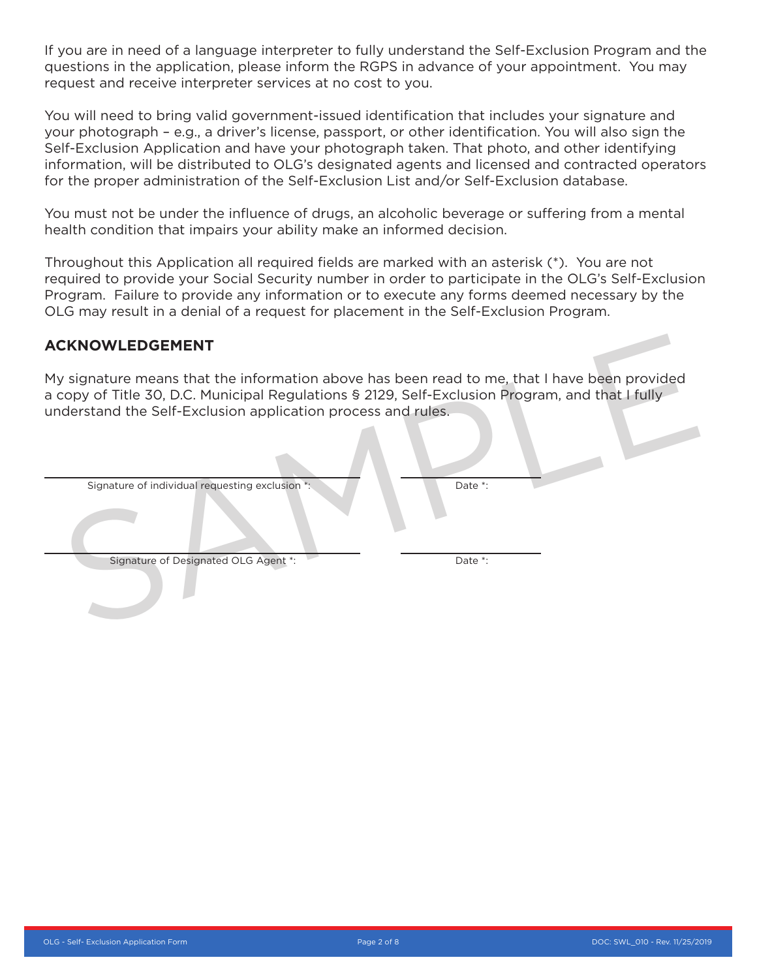If you are in need of a language interpreter to fully understand the Self-Exclusion Program and the questions in the application, please inform the RGPS in advance of your appointment. You may request and receive interpreter services at no cost to you.

You will need to bring valid government-issued identification that includes your signature and your photograph – e.g., a driver's license, passport, or other identification. You will also sign the Self-Exclusion Application and have your photograph taken. That photo, and other identifying information, will be distributed to OLG's designated agents and licensed and contracted operators for the proper administration of the Self-Exclusion List and/or Self-Exclusion database.

You must not be under the influence of drugs, an alcoholic beverage or suffering from a mental health condition that impairs your ability make an informed decision.

Throughout this Application all required fields are marked with an asterisk (\*). You are not required to provide your Social Security number in order to participate in the OLG's Self-Exclusion Program. Failure to provide any information or to execute any forms deemed necessary by the OLG may result in a denial of a request for placement in the Self-Exclusion Program.

#### **ACKNOWLEDGEMENT**

| <b>ACKNOWLEDGEMENT</b>                                                                                                                                                                                                                                          |         |
|-----------------------------------------------------------------------------------------------------------------------------------------------------------------------------------------------------------------------------------------------------------------|---------|
| My signature means that the information above has been read to me, that I have been provided<br>a copy of Title 30, D.C. Municipal Regulations § 2129, Self-Exclusion Program, and that I fully<br>understand the Self-Exclusion application process and rules. |         |
| Signature of individual requesting exclusion *:                                                                                                                                                                                                                 | Date *: |
|                                                                                                                                                                                                                                                                 |         |
| Signature of Designated OLG Agent *:                                                                                                                                                                                                                            | Date *: |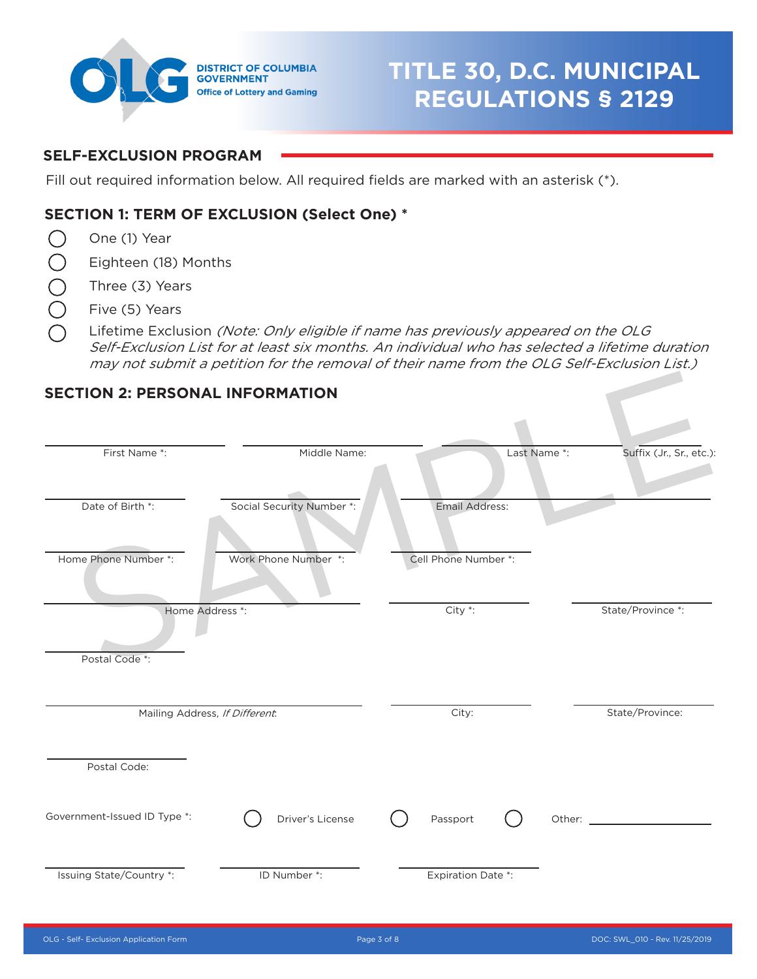

# **TITLE 30, D.C. MUNICIPAL REGULATIONS § 2129**

# **SELF-EXCLUSION PROGRAM**

Fill out required information below. All required fields are marked with an asterisk (\*).

# **SECTION 1: TERM OF EXCLUSION (Select One) \***

- $\bigcirc$ One (1) Year
- $\bigcirc$ Eighteen (18) Months
- $\bigcirc$ Three (3) Years
- $\bar{\bigcirc}$ Five (5) Years
- Lifetime Exclusion (Note: Only eligible if name has previously appeared on the OLG Self-Exclusion List for at least six months. An individual who has selected a lifetime duration may not submit a petition for the removal of their name from the OLG Self-Exclusion List.)

#### **SECTION 2: PERSONAL INFORMATION**

| <b>SECTION 2: PERSONAL INFORMATION</b> |                                |                           |                          |
|----------------------------------------|--------------------------------|---------------------------|--------------------------|
| First Name *:                          | Middle Name:                   | Last Name *:              | Suffix (Jr., Sr., etc.): |
| Date of Birth *:                       | Social Security Number *:      | Email Address:            |                          |
| Home Phone Number *:                   | Work Phone Number *:           | Cell Phone Number *:      |                          |
| Postal Code <sup>*</sup> :             | Home Address *:                | $City *:$                 | State/Province *:        |
|                                        | Mailing Address, If Different. | City:                     | State/Province:          |
| Postal Code:                           |                                |                           |                          |
| Government-Issued ID Type *:           | Driver's License               | Passport                  |                          |
| Issuing State/Country *:               | ID Number *:                   | <b>Expiration Date *:</b> |                          |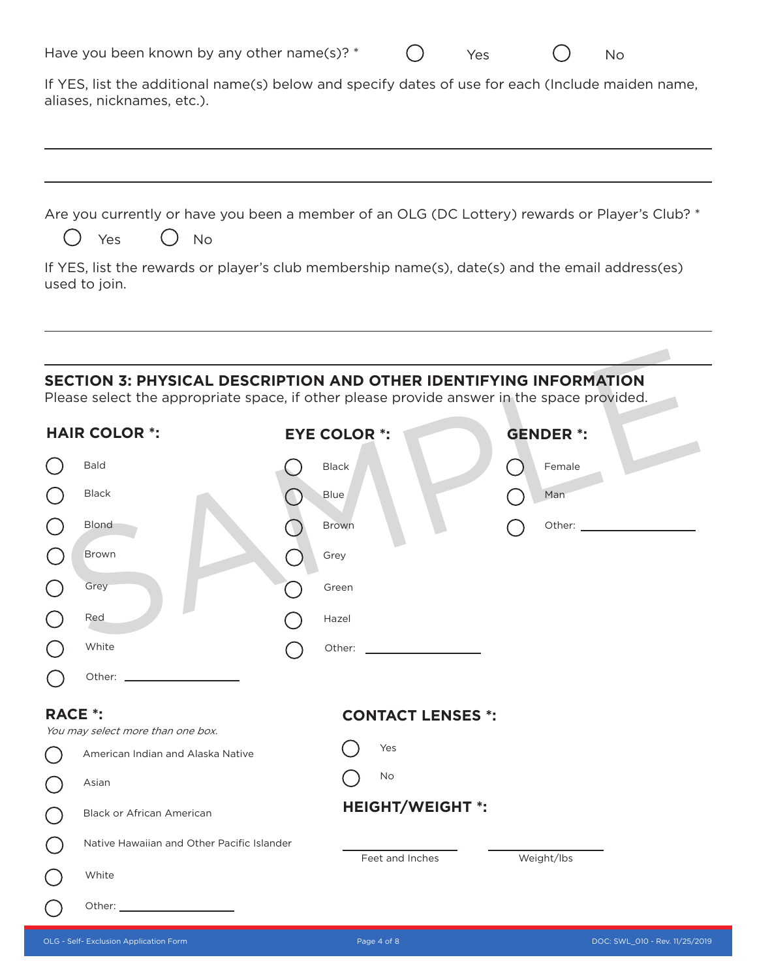|                            | Have you been known by any other name(s)? *                                                                 | Yes | No. |
|----------------------------|-------------------------------------------------------------------------------------------------------------|-----|-----|
| aliases, nicknames, etc.). | If YES, list the additional name(s) below and specify dates of use for each (Include maiden name,           |     |     |
| Yes                        | Are you currently or have you been a member of an OLG (DC Lottery) rewards or Player's Club? *<br><b>No</b> |     |     |
| used to join.              | If YES, list the rewards or player's club membership name(s), date(s) and the email address(es)             |     |     |

# **SECTION 3: PHYSICAL DESCRIPTION AND OTHER IDENTIFYING INFORMATION**

|                                             | <b>SECTION 3: PHYSICAL DESCRIPTION AND OTHER IDENTIFYING INFORMATION</b><br>Please select the appropriate space, if other please provide answer in the space provided. |  |                     |                                         |  |                  |
|---------------------------------------------|------------------------------------------------------------------------------------------------------------------------------------------------------------------------|--|---------------------|-----------------------------------------|--|------------------|
|                                             | <b>HAIR COLOR *:</b>                                                                                                                                                   |  | <b>EYE COLOR *:</b> |                                         |  | <b>GENDER *:</b> |
|                                             | <b>Bald</b>                                                                                                                                                            |  | <b>Black</b>        |                                         |  | Female           |
|                                             | Black                                                                                                                                                                  |  | Blue                |                                         |  | Man              |
|                                             | <b>Blond</b>                                                                                                                                                           |  | <b>Brown</b>        |                                         |  |                  |
|                                             | <b>Brown</b>                                                                                                                                                           |  | Grey                |                                         |  |                  |
|                                             | Grey                                                                                                                                                                   |  | Green               |                                         |  |                  |
|                                             | Red                                                                                                                                                                    |  | Hazel               |                                         |  |                  |
|                                             | White                                                                                                                                                                  |  | Other:              | <u> 1990 - Johann Barbara, martxa a</u> |  |                  |
|                                             |                                                                                                                                                                        |  |                     |                                         |  |                  |
| <b>RACE *:</b>                              |                                                                                                                                                                        |  |                     | <b>CONTACT LENSES *:</b>                |  |                  |
|                                             | You may select more than one box.<br>American Indian and Alaska Native                                                                                                 |  |                     | Yes                                     |  |                  |
| $\overline{C}$                              | Asian                                                                                                                                                                  |  |                     | <b>No</b>                               |  |                  |
| $(\ )$                                      | <b>Black or African American</b>                                                                                                                                       |  |                     | <b>HEIGHT/WEIGHT *:</b>                 |  |                  |
| $\left(\begin{array}{c} \end{array}\right)$ | Native Hawaiian and Other Pacific Islander                                                                                                                             |  |                     |                                         |  |                  |
|                                             | White                                                                                                                                                                  |  |                     | Feet and Inches                         |  | Weight/lbs       |
|                                             |                                                                                                                                                                        |  |                     |                                         |  |                  |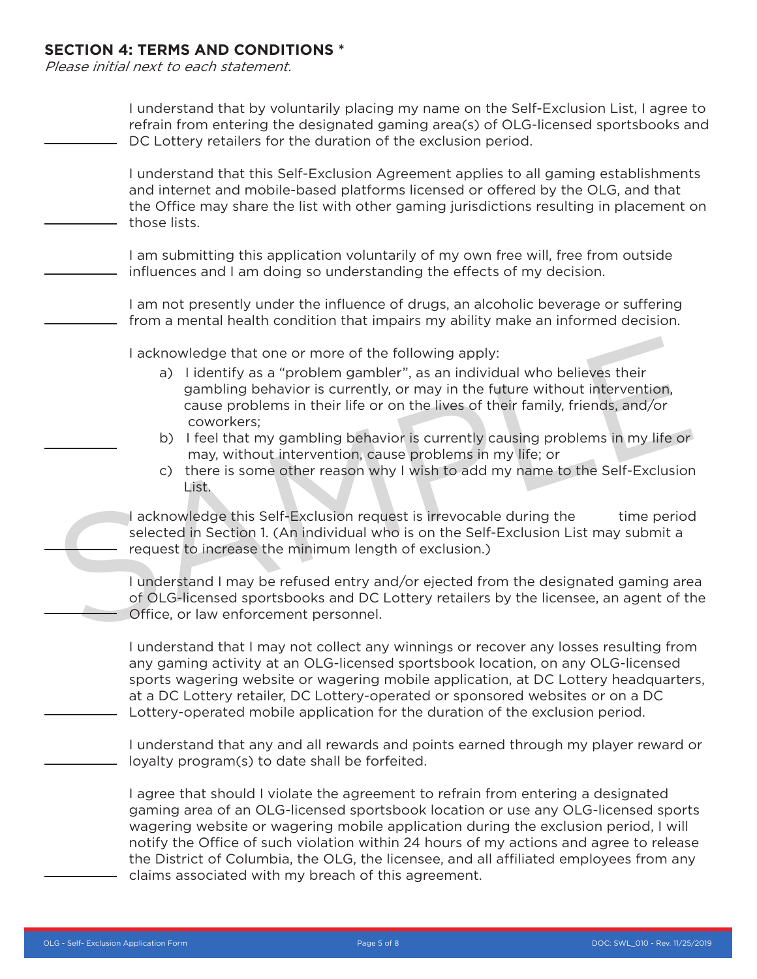#### **SECTION 4: TERMS AND CONDITIONS \***

Please initial next to each statement.

| I understand that by voluntarily placing my name on the Self-Exclusion List, I agree to<br>refrain from entering the designated gaming area(s) of OLG-licensed sportsbooks and<br>DC Lottery retailers for the duration of the exclusion period.                                                                                                                                                                                                                                                                                                             |
|--------------------------------------------------------------------------------------------------------------------------------------------------------------------------------------------------------------------------------------------------------------------------------------------------------------------------------------------------------------------------------------------------------------------------------------------------------------------------------------------------------------------------------------------------------------|
| I understand that this Self-Exclusion Agreement applies to all gaming establishments<br>and internet and mobile-based platforms licensed or offered by the OLG, and that<br>the Office may share the list with other gaming jurisdictions resulting in placement on<br>those lists.                                                                                                                                                                                                                                                                          |
| I am submitting this application voluntarily of my own free will, free from outside<br>influences and I am doing so understanding the effects of my decision.                                                                                                                                                                                                                                                                                                                                                                                                |
| I am not presently under the influence of drugs, an alcoholic beverage or suffering<br>from a mental health condition that impairs my ability make an informed decision.                                                                                                                                                                                                                                                                                                                                                                                     |
| I acknowledge that one or more of the following apply:<br>a) I identify as a "problem gambler", as an individual who believes their<br>gambling behavior is currently, or may in the future without intervention,<br>cause problems in their life or on the lives of their family, friends, and/or<br>coworkers;<br>I feel that my gambling behavior is currently causing problems in my life or<br>b)<br>may, without intervention, cause problems in my life; or<br>c) there is some other reason why I wish to add my name to the Self-Exclusion<br>List. |
| I acknowledge this Self-Exclusion request is irrevocable during the<br>time period<br>selected in Section 1. (An individual who is on the Self-Exclusion List may submit a<br>request to increase the minimum length of exclusion.)                                                                                                                                                                                                                                                                                                                          |
| I understand I may be refused entry and/or ejected from the designated gaming area<br>of OLG-licensed sportsbooks and DC Lottery retailers by the licensee, an agent of the<br>Office, or law enforcement personnel.                                                                                                                                                                                                                                                                                                                                         |
| I understand that I may not collect any winnings or recover any losses resulting from<br>any gaming activity at an OLG-licensed sportsbook location, on any OLG-licensed<br>sports wagering website or wagering mobile application, at DC Lottery headquarters,<br>at a DC Lottery retailer, DC Lottery-operated or sponsored websites or on a DC<br>Lottery-operated mobile application for the duration of the exclusion period.                                                                                                                           |
| I understand that any and all rewards and points earned through my player reward or<br>loyalty program(s) to date shall be forfeited.                                                                                                                                                                                                                                                                                                                                                                                                                        |
| I agree that should I violate the agreement to refrain from entering a designated<br>gaming area of an OLG-licensed sportsbook location or use any OLG-licensed sports<br>wagering website or wagering mobile application during the exclusion period, I will<br>notify the Office of such violation within 24 hours of my actions and agree to release<br>the District of Columbia, the OLG, the licensee, and all affiliated employees from any<br>claims associated with my breach of this agreement.                                                     |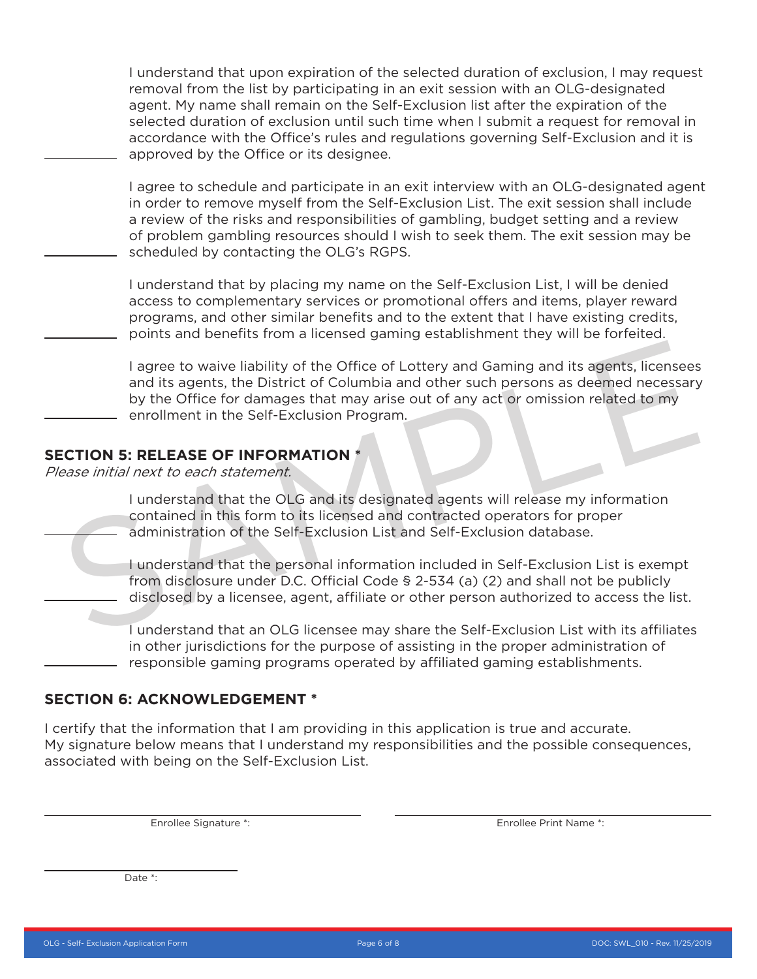I understand that upon expiration of the selected duration of exclusion, I may request removal from the list by participating in an exit session with an OLG-designated agent. My name shall remain on the Self-Exclusion list after the expiration of the selected duration of exclusion until such time when I submit a request for removal in accordance with the Office's rules and regulations governing Self-Exclusion and it is approved by the Office or its designee.

I agree to schedule and participate in an exit interview with an OLG-designated agent in order to remove myself from the Self-Exclusion List. The exit session shall include a review of the risks and responsibilities of gambling, budget setting and a review of problem gambling resources should I wish to seek them. The exit session may be scheduled by contacting the OLG's RGPS.

I understand that by placing my name on the Self-Exclusion List, I will be denied access to complementary services or promotional offers and items, player reward programs, and other similar benefits and to the extent that I have existing credits, points and benefits from a licensed gaming establishment they will be forfeited.

I agree to waive liability of the Office of Lottery and Gaming and its agents, licensees and its agents, the District of Columbia and other such persons as deemed necessary by the Office for damages that may arise out of any act or omission related to my enrollment in the Self-Exclusion Program. I agree to waive liability of the Office of Lottery and Gaming and its agents, licensees<br>and its agents, the District of Columbia and other such persons as deemed necessary<br>by the Office for damages that may arise out of a

#### **SECTION 5: RELEASE OF INFORMATION \***

Please initial next to each statement.

I understand that the OLG and its designated agents will release my information contained in this form to its licensed and contracted operators for proper administration of the Self-Exclusion List and Self-Exclusion database.

I understand that the personal information included in Self-Exclusion List is exempt from disclosure under D.C. Official Code § 2-534 (a) (2) and shall not be publicly disclosed by a licensee, agent, affiliate or other person authorized to access the list.

I understand that an OLG licensee may share the Self-Exclusion List with its affiliates in other jurisdictions for the purpose of assisting in the proper administration of responsible gaming programs operated by affiliated gaming establishments.

#### **SECTION 6: ACKNOWLEDGEMENT \***

I certify that the information that I am providing in this application is true and accurate. My signature below means that I understand my responsibilities and the possible consequences, associated with being on the Self-Exclusion List.

Enrollee Signature \*:

Enrollee Print Name \*:

Date \*: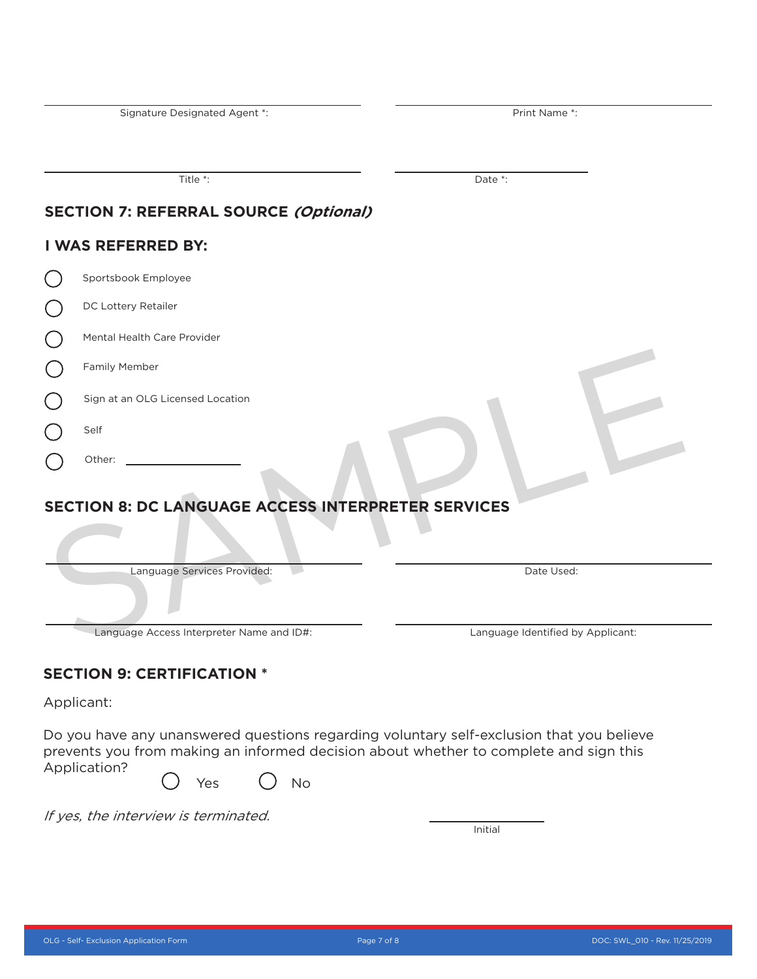Signature Designated Agent \*:

Print Name \*:

Title \*:

Date<sup>\*</sup>:

# **SECTION 7: REFERRAL SOURCE (Optional)**

# **I WAS REFERRED BY:**

| Sportsbook Employee                |
|------------------------------------|
| DC Lottery Retailer                |
| <b>Mental Health Care Provider</b> |
| <b>Family Member</b>               |
| Sign at an OLG Licensed Location   |
| Self                               |

# **SECTION 8: DC LANGUAGE ACCESS INTERPRETER SERVICES**

| Family Member                                             |                                   |
|-----------------------------------------------------------|-----------------------------------|
| Sign at an OLG Licensed Location                          |                                   |
| Self                                                      |                                   |
| Other:                                                    |                                   |
| <b>SECTION 8: DC LANGUAGE ACCESS INTERPRETER SERVICES</b> |                                   |
| Language Services Provided:                               | Date Used:                        |
| Language Access Interpreter Name and ID#:                 | Language Identified by Applicant: |

# **SECTION 9: CERTIFICATION \***

Applicant:

Do you have any unanswered questions regarding voluntary self-exclusion that you believe prevents you from making an informed decision about whether to complete and sign this Application?

Yes () No

If yes, the interview is terminated.

**Initial**